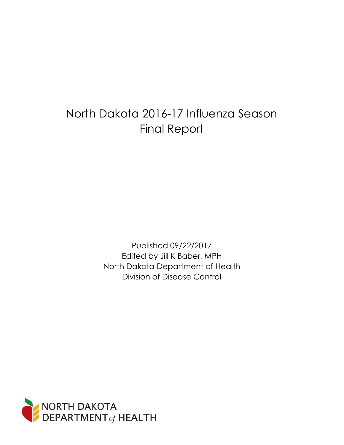# North Dakota 2016-17 Influenza Season Final Report

Published 09/22/2017 Edited by Jill K Baber, MPH North Dakota Department of Health Division of Disease Control

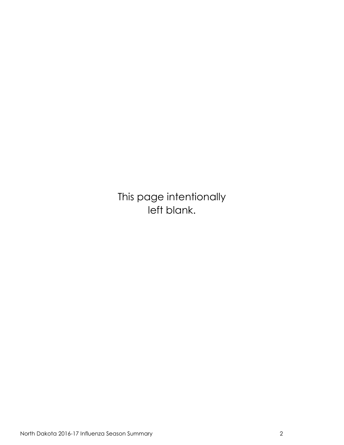This page intentionally left blank.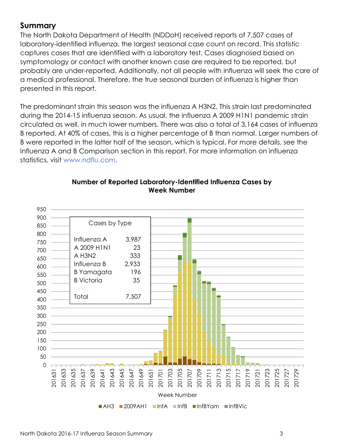### Summary

The North Dakota Department of Health (NDDoH) received reports of 7,507 cases of laboratory-identified influenza, the largest seasonal case count on record. This statistic captures cases that are identified with a laboratory test. Cases diagnosed based on symptomology or contact with another known case are required to be reported, but probably are under-reported. Additionally, not all people with influenza will seek the care of a medical professional. Therefore, the true seasonal burden of influenza is higher than presented in this report.

The predominant strain this season was the influenza A H3N2. This strain last predominated during the 2014-15 influenza season. As usual, the influenza A 2009 H1N1 pandemic strain circulated as well, in much lower numbers. There was also a total of 3,164 cases of influenza B reported. At 40% of cases, this is a higher percentage of B than normal. Larger numbers of B were reported in the latter half of the season, which is typical. For more details, see the Influenza A and B Comparison section in this report. For more information on influenza statistics, visit www.ndflu.com.



#### Number of Reported Laboratory-Identified Influenza Cases by Week Number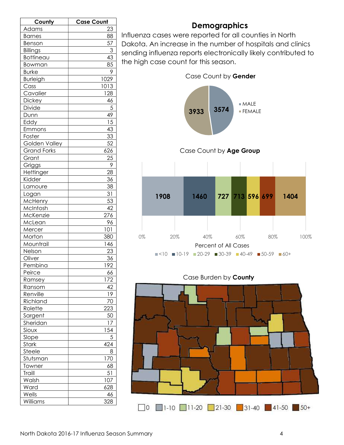| County             | <b>Case Count</b> |
|--------------------|-------------------|
| Adams              | 23                |
| <b>Barnes</b>      | 88                |
| Benson             | 57                |
| <b>Billings</b>    | 3                 |
| Bottineau          | 43                |
| Bowman             | 85                |
| <b>Burke</b>       | 9                 |
| <b>Burleigh</b>    | 1029              |
| Cass               | 1013              |
| Cavalier           | 128               |
| <b>Dickey</b>      | 46                |
| Divide             | $\overline{5}$    |
| Dunn               | 49                |
| Eddy               | 15                |
| Emmons             | 43                |
| Foster             | 33                |
| Golden Valley      | $\frac{52}{5}$    |
| <b>Grand Forks</b> | 626               |
| Grant              | 25                |
| Griggs             | 9                 |
| Hettinger          | 28                |
| Kidder             | 36                |
| Lamoure            | 38                |
| Logan              | 31                |
| McHenry            | 53                |
| McIntosh           | 42                |
| McKenzie           | 276               |
| McLean             | 96                |
| Mercer             | 101               |
| Morton             | 380               |
| Mountrail          | 146               |
| Nelson             | 23                |
| Oliver             | 36                |
| Pembina            | 192               |
| Peirce             | 66                |
| Ramsey             | 172               |
| Ransom             | 42                |
| Renville           | 19                |
| Richland           | 70                |
| Rolette            | $\overline{223}$  |
| Sargent            | 50                |
| Sheridan           | 17<br>154         |
| Sioux<br>Slope     |                   |
| Stark              | 424               |
| Steele             | 8                 |
| Stutsman           | 170               |
| Towner             | 68                |
| <b>Traill</b>      | 51                |
| Walsh              | 107               |
| Ward               | 628               |
| Wells              | 46                |
| Williams           | 328               |
|                    |                   |

# Demographics

Influenza cases were reported for all counties in North Dakota. An increase in the number of hospitals and clinics sending influenza reports electronically likely contributed to the high case count for this season.



Case Burden by County

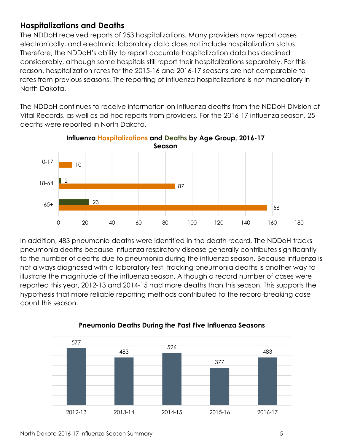## Hospitalizations and Deaths

The NDDoH received reports of 253 hospitalizations. Many providers now report cases electronically, and electronic laboratory data does not include hospitalization status. Therefore, the NDDoH's ability to report accurate hospitalization data has declined considerably, although some hospitals still report their hospitalizations separately. For this reason, hospitalization rates for the 2015-16 and 2016-17 seasons are not comparable to rates from previous seasons. The reporting of influenza hospitalizations is not mandatory in North Dakota.

The NDDoH continues to receive information on influenza deaths from the NDDoH Division of Vital Records, as well as ad hoc reports from providers. For the 2016-17 influenza season, 25 deaths were reported in North Dakota.



In addition, 483 pneumonia deaths were identified in the death record. The NDDoH tracks pneumonia deaths because influenza respiratory disease generally contributes significantly to the number of deaths due to pneumonia during the influenza season. Because influenza is not always diagnosed with a laboratory test, tracking pneumonia deaths is another way to illustrate the magnitude of the influenza season. Although a record number of cases were reported this year, 2012-13 and 2014-15 had more deaths than this season. This supports the hypothesis that more reliable reporting methods contributed to the record-breaking case count this season.



#### Pneumonia Deaths During the Past Five Influenza Seasons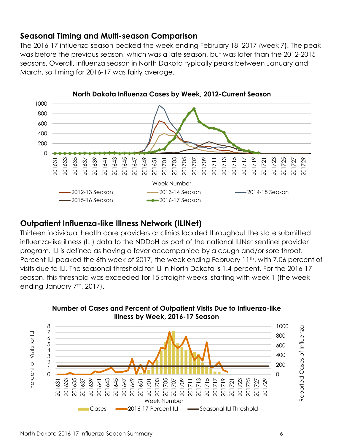#### Seasonal Timing and Multi-season Comparison

The 2016-17 influenza season peaked the week ending February 18, 2017 (week 7). The peak was before the previous season, which was a late season, but was later than the 2012-2015 seasons. Overall, influenza season in North Dakota typically peaks between January and March, so timing for 2016-17 was fairly average.



## Outpatient Influenza-like Illness Network (ILINet)

Thirteen individual health care providers or clinics located throughout the state submitted influenza-like illness (ILI) data to the NDDoH as part of the national ILINet sentinel provider program. ILI is defined as having a fever accompanied by a cough and/or sore throat. Percent ILI peaked the 6th week of 2017, the week ending February 11<sup>th</sup>, with 7.06 percent of visits due to ILI. The seasonal threshold for ILI in North Dakota is 1.4 percent. For the 2016-17 season, this threshold was exceeded for 15 straight weeks, starting with week 1 (the week ending January 7<sup>th</sup>, 2017).



Number of Cases and Percent of Outpatient Visits Due to Influenza-like Illness by Week, 2016-17 Season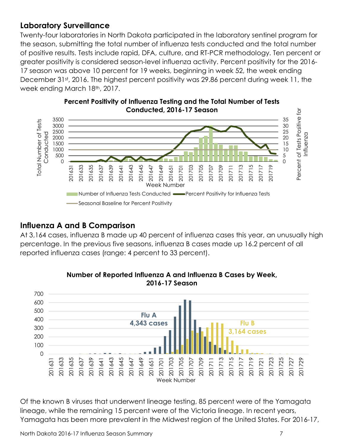# Laboratory Surveillance

Twenty-four laboratories in North Dakota participated in the laboratory sentinel program for the season, submitting the total number of influenza tests conducted and the total number of positive results. Tests include rapid, DFA, culture, and RT-PCR methodology. Ten percent or greater positivity is considered season-level influenza activity. Percent positivity for the 2016- 17 season was above 10 percent for 19 weeks, beginning in week 52, the week ending December 31st, 2016. The highest percent positivity was 29.86 percent during week 11, the week ending March 18th, 2017.



# Influenza A and B Comparison

At 3,164 cases, influenza B made up 40 percent of influenza cases this year, an unusually high percentage. In the previous five seasons, influenza B cases made up 16.2 percent of all reported influenza cases (range: 4 percent to 33 percent).



Number of Reported Influenza A and Influenza B Cases by Week,

Of the known B viruses that underwent lineage testing, 85 percent were of the Yamagata lineage, while the remaining 15 percent were of the Victoria lineage. In recent years, Yamagata has been more prevalent in the Midwest region of the United States. For 2016-17,